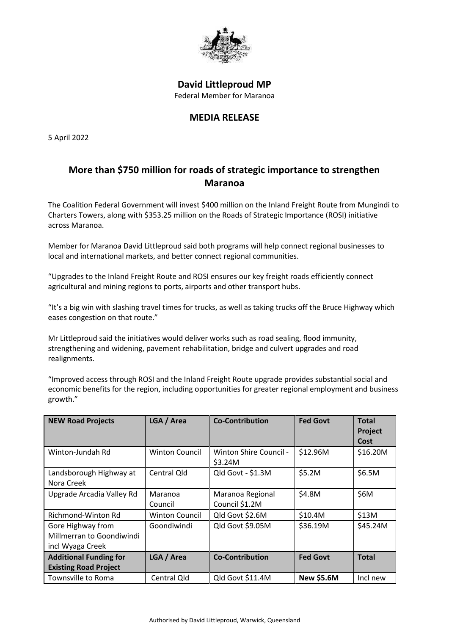

## **David Littleproud MP** Federal Member for Maranoa

## **MEDIA RELEASE**

5 April 2022

## **More than \$750 million for roads of strategic importance to strengthen Maranoa**

The Coalition Federal Government will invest \$400 million on the Inland Freight Route from Mungindi to Charters Towers, along with \$353.25 million on the Roads of Strategic Importance (ROSI) initiative across Maranoa.

Member for Maranoa David Littleproud said both programs will help connect regional businesses to local and international markets, and better connect regional communities.

"Upgrades to the Inland Freight Route and ROSI ensures our key freight roads efficiently connect agricultural and mining regions to ports, airports and other transport hubs.

"It's a big win with slashing travel times for trucks, as well as taking trucks off the Bruce Highway which eases congestion on that route."

Mr Littleproud said the initiatives would deliver works such as road sealing, flood immunity, strengthening and widening, pavement rehabilitation, bridge and culvert upgrades and road realignments.

"Improved access through ROSI and the Inland Freight Route upgrade provides substantial social and economic benefits for the region, including opportunities for greater regional employment and business growth."

| <b>NEW Road Projects</b>      | LGA / Area            | <b>Co-Contribution</b>        | <b>Fed Govt</b>   | <b>Total</b> |
|-------------------------------|-----------------------|-------------------------------|-------------------|--------------|
|                               |                       |                               |                   | Project      |
|                               |                       |                               |                   | Cost         |
| Winton-Jundah Rd              | <b>Winton Council</b> | <b>Winton Shire Council -</b> | \$12.96M          | \$16.20M     |
|                               |                       | \$3.24M                       |                   |              |
| Landsborough Highway at       | Central Qld           | Qld Govt - \$1.3M             | \$5.2M            | \$6.5M       |
| Nora Creek                    |                       |                               |                   |              |
| Upgrade Arcadia Valley Rd     | Maranoa               | Maranoa Regional              | \$4.8M            | \$6M         |
|                               | Council               | Council \$1.2M                |                   |              |
| Richmond-Winton Rd            | <b>Winton Council</b> | Qld Govt \$2.6M               | \$10.4M           | \$13M        |
| Gore Highway from             | Goondiwindi           | Qld Govt \$9.05M              | \$36.19M          | \$45.24M     |
| Millmerran to Goondiwindi     |                       |                               |                   |              |
| incl Wyaga Creek              |                       |                               |                   |              |
| <b>Additional Funding for</b> | LGA / Area            | <b>Co-Contribution</b>        | <b>Fed Govt</b>   | <b>Total</b> |
| <b>Existing Road Project</b>  |                       |                               |                   |              |
| Townsville to Roma            | Central Qld           | Qld Govt \$11.4M              | <b>New \$5.6M</b> | Incl new     |